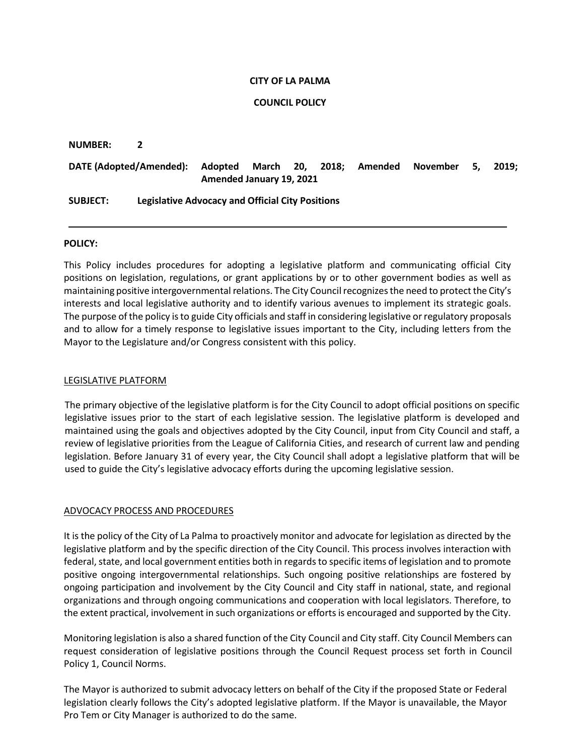### **CITY OF LA PALMA**

## **COUNCIL POLICY**

#### **NUMBER: 2**

# **DATE (Adopted/Amended): Adopted March 20, 2018; Amended November 5, 2019; Amended January 19, 2021**

# **SUBJECT: Legislative Advocacy and Official City Positions**

## **POLICY:**

This Policy includes procedures for adopting a legislative platform and communicating official City positions on legislation, regulations, or grant applications by or to other government bodies as well as maintaining positive intergovernmental relations. The City Council recognizesthe need to protect the City's interests and local legislative authority and to identify various avenues to implement its strategic goals. The purpose ofthe policy isto guide City officials and staff in considering legislative or regulatory proposals and to allow for a timely response to legislative issues important to the City, including letters from the Mayor to the Legislature and/or Congress consistent with this policy.

### LEGISLATIVE PLATFORM

The primary objective of the legislative platform is for the City Council to adopt official positions on specific legislative issues prior to the start of each legislative session. The legislative platform is developed and maintained using the goals and objectives adopted by the City Council, input from City Council and staff, a review of legislative priorities from the League of California Cities, and research of current law and pending legislation. Before January 31 of every year, the City Council shall adopt a legislative platform that will be used to guide the City's legislative advocacy efforts during the upcoming legislative session.

# ADVOCACY PROCESS AND PROCEDURES

It is the policy of the City of La Palma to proactively monitor and advocate for legislation as directed by the legislative platform and by the specific direction of the City Council. This process involves interaction with federal, state, and local government entities both in regards to specific items of legislation and to promote positive ongoing intergovernmental relationships. Such ongoing positive relationships are fostered by ongoing participation and involvement by the City Council and City staff in national, state, and regional organizations and through ongoing communications and cooperation with local legislators. Therefore, to the extent practical, involvement in such organizations or efforts is encouraged and supported by the City.

Monitoring legislation is also a shared function of the City Council and City staff. City Council Members can request consideration of legislative positions through the Council Request process set forth in Council Policy 1, Council Norms.

The Mayor is authorized to submit advocacy letters on behalf of the City if the proposed State or Federal legislation clearly follows the City's adopted legislative platform. If the Mayor is unavailable, the Mayor Pro Tem or City Manager is authorized to do the same.